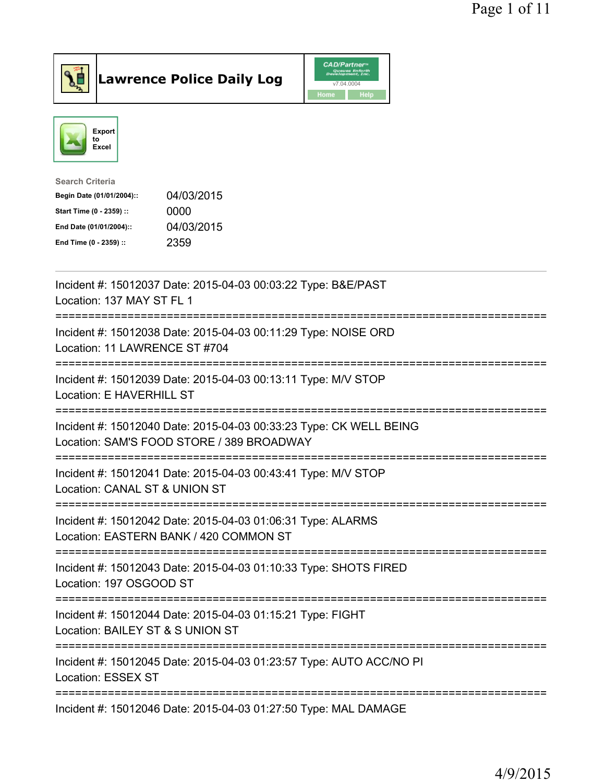



| 04/03/2015 |
|------------|
| 0000       |
| 04/03/2015 |
| 2359       |
|            |

| Incident #: 15012037 Date: 2015-04-03 00:03:22 Type: B&E/PAST<br>Location: 137 MAY ST FL 1                                                  |
|---------------------------------------------------------------------------------------------------------------------------------------------|
| Incident #: 15012038 Date: 2015-04-03 00:11:29 Type: NOISE ORD<br>Location: 11 LAWRENCE ST #704<br>---------------                          |
| Incident #: 15012039 Date: 2015-04-03 00:13:11 Type: M/V STOP<br>Location: E HAVERHILL ST                                                   |
| Incident #: 15012040 Date: 2015-04-03 00:33:23 Type: CK WELL BEING<br>Location: SAM'S FOOD STORE / 389 BROADWAY                             |
| Incident #: 15012041 Date: 2015-04-03 00:43:41 Type: M/V STOP<br>Location: CANAL ST & UNION ST<br>------------------------<br>------------- |
| Incident #: 15012042 Date: 2015-04-03 01:06:31 Type: ALARMS<br>Location: EASTERN BANK / 420 COMMON ST                                       |
| ==========================<br>Incident #: 15012043 Date: 2015-04-03 01:10:33 Type: SHOTS FIRED<br>Location: 197 OSGOOD ST                   |
| Incident #: 15012044 Date: 2015-04-03 01:15:21 Type: FIGHT<br>Location: BAILEY ST & S UNION ST                                              |
| Incident #: 15012045 Date: 2015-04-03 01:23:57 Type: AUTO ACC/NO PI<br>Location: ESSEX ST                                                   |
| -------------------------<br>Incident #: 15012046 Date: 2015-04-03 01:27:50 Type: MAL DAMAGE                                                |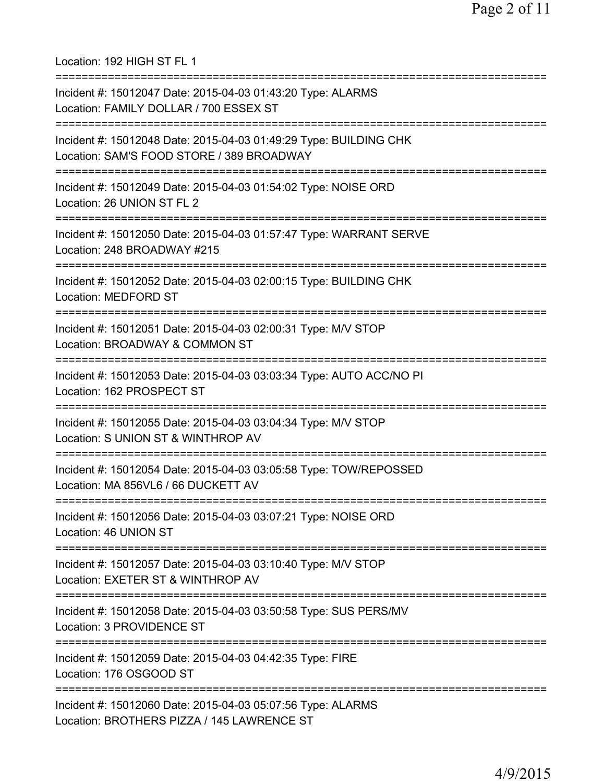Location: 192 HIGH ST FL 1 =========================================================================== Incident #: 15012047 Date: 2015-04-03 01:43:20 Type: ALARMS Location: FAMILY DOLLAR / 700 ESSEX ST =========================================================================== Incident #: 15012048 Date: 2015-04-03 01:49:29 Type: BUILDING CHK Location: SAM'S FOOD STORE / 389 BROADWAY =========================================================================== Incident #: 15012049 Date: 2015-04-03 01:54:02 Type: NOISE ORD Location: 26 UNION ST FL 2 =========================================================================== Incident #: 15012050 Date: 2015-04-03 01:57:47 Type: WARRANT SERVE Location: 248 BROADWAY #215 =========================================================================== Incident #: 15012052 Date: 2015-04-03 02:00:15 Type: BUILDING CHK Location: MEDFORD ST =========================================================================== Incident #: 15012051 Date: 2015-04-03 02:00:31 Type: M/V STOP Location: BROADWAY & COMMON ST =========================================================================== Incident #: 15012053 Date: 2015-04-03 03:03:34 Type: AUTO ACC/NO PI Location: 162 PROSPECT ST =========================================================================== Incident #: 15012055 Date: 2015-04-03 03:04:34 Type: M/V STOP Location: S UNION ST & WINTHROP AV =========================================================================== Incident #: 15012054 Date: 2015-04-03 03:05:58 Type: TOW/REPOSSED Location: MA 856VL6 / 66 DUCKETT AV =========================================================================== Incident #: 15012056 Date: 2015-04-03 03:07:21 Type: NOISE ORD Location: 46 UNION ST =========================================================================== Incident #: 15012057 Date: 2015-04-03 03:10:40 Type: M/V STOP Location: EXETER ST & WINTHROP AV =========================================================================== Incident #: 15012058 Date: 2015-04-03 03:50:58 Type: SUS PERS/MV Location: 3 PROVIDENCE ST =========================================================================== Incident #: 15012059 Date: 2015-04-03 04:42:35 Type: FIRE Location: 176 OSGOOD ST =========================================================================== Incident #: 15012060 Date: 2015-04-03 05:07:56 Type: ALARMS Location: BROTHERS PIZZA / 145 LAWRENCE ST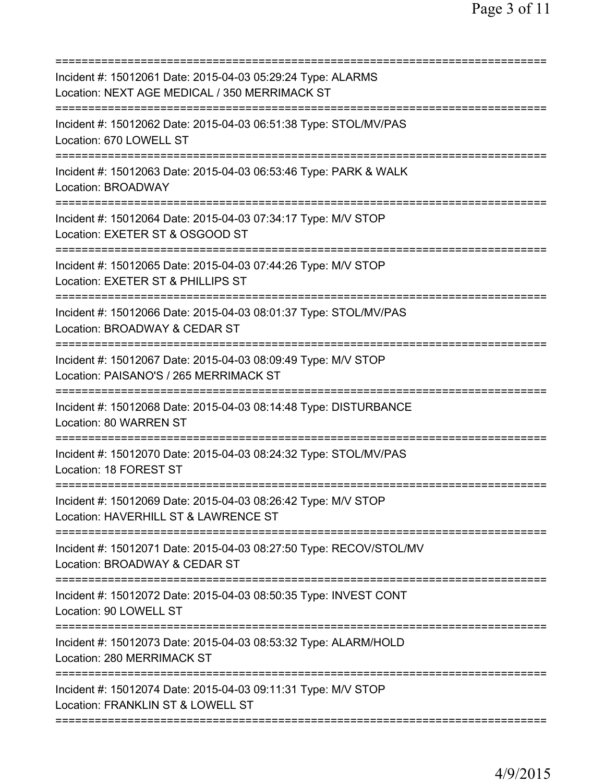| Incident #: 15012061 Date: 2015-04-03 05:29:24 Type: ALARMS<br>Location: NEXT AGE MEDICAL / 350 MERRIMACK ST                    |
|---------------------------------------------------------------------------------------------------------------------------------|
| Incident #: 15012062 Date: 2015-04-03 06:51:38 Type: STOL/MV/PAS<br>Location: 670 LOWELL ST                                     |
| Incident #: 15012063 Date: 2015-04-03 06:53:46 Type: PARK & WALK<br>Location: BROADWAY                                          |
| Incident #: 15012064 Date: 2015-04-03 07:34:17 Type: M/V STOP<br>Location: EXETER ST & OSGOOD ST<br>=========================== |
| Incident #: 15012065 Date: 2015-04-03 07:44:26 Type: M/V STOP<br>Location: EXETER ST & PHILLIPS ST                              |
| Incident #: 15012066 Date: 2015-04-03 08:01:37 Type: STOL/MV/PAS<br>Location: BROADWAY & CEDAR ST                               |
| Incident #: 15012067 Date: 2015-04-03 08:09:49 Type: M/V STOP<br>Location: PAISANO'S / 265 MERRIMACK ST                         |
| Incident #: 15012068 Date: 2015-04-03 08:14:48 Type: DISTURBANCE<br>Location: 80 WARREN ST                                      |
| Incident #: 15012070 Date: 2015-04-03 08:24:32 Type: STOL/MV/PAS<br>Location: 18 FOREST ST                                      |
| Incident #: 15012069 Date: 2015-04-03 08:26:42 Type: M/V STOP<br>Location: HAVERHILL ST & LAWRENCE ST                           |
| Incident #: 15012071 Date: 2015-04-03 08:27:50 Type: RECOV/STOL/MV<br>Location: BROADWAY & CEDAR ST                             |
| Incident #: 15012072 Date: 2015-04-03 08:50:35 Type: INVEST CONT<br>Location: 90 LOWELL ST                                      |
| Incident #: 15012073 Date: 2015-04-03 08:53:32 Type: ALARM/HOLD<br>Location: 280 MERRIMACK ST                                   |
| Incident #: 15012074 Date: 2015-04-03 09:11:31 Type: M/V STOP<br>Location: FRANKLIN ST & LOWELL ST                              |
|                                                                                                                                 |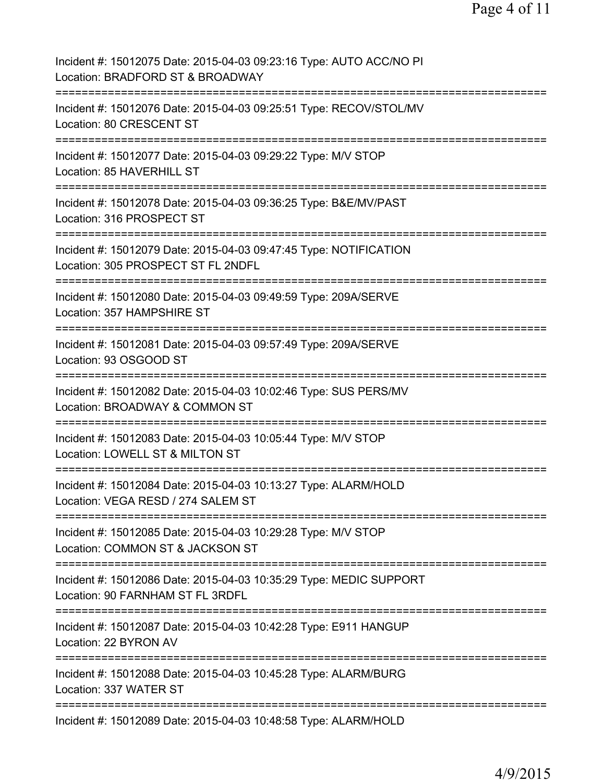| Incident #: 15012075 Date: 2015-04-03 09:23:16 Type: AUTO ACC/NO PI<br>Location: BRADFORD ST & BROADWAY                                |
|----------------------------------------------------------------------------------------------------------------------------------------|
| Incident #: 15012076 Date: 2015-04-03 09:25:51 Type: RECOV/STOL/MV<br>Location: 80 CRESCENT ST                                         |
| Incident #: 15012077 Date: 2015-04-03 09:29:22 Type: M/V STOP<br>Location: 85 HAVERHILL ST                                             |
| Incident #: 15012078 Date: 2015-04-03 09:36:25 Type: B&E/MV/PAST<br>Location: 316 PROSPECT ST                                          |
| Incident #: 15012079 Date: 2015-04-03 09:47:45 Type: NOTIFICATION<br>Location: 305 PROSPECT ST FL 2NDFL                                |
| Incident #: 15012080 Date: 2015-04-03 09:49:59 Type: 209A/SERVE<br>Location: 357 HAMPSHIRE ST                                          |
| Incident #: 15012081 Date: 2015-04-03 09:57:49 Type: 209A/SERVE<br>Location: 93 OSGOOD ST                                              |
| Incident #: 15012082 Date: 2015-04-03 10:02:46 Type: SUS PERS/MV<br>Location: BROADWAY & COMMON ST                                     |
| Incident #: 15012083 Date: 2015-04-03 10:05:44 Type: M/V STOP<br>Location: LOWELL ST & MILTON ST                                       |
| Incident #: 15012084 Date: 2015-04-03 10:13:27 Type: ALARM/HOLD<br>Location: VEGA RESD / 274 SALEM ST                                  |
| Incident #: 15012085 Date: 2015-04-03 10:29:28 Type: M/V STOP<br>Location: COMMON ST & JACKSON ST                                      |
| ============================<br>Incident #: 15012086 Date: 2015-04-03 10:35:29 Type: MEDIC SUPPORT<br>Location: 90 FARNHAM ST FL 3RDFL |
| ============================<br>Incident #: 15012087 Date: 2015-04-03 10:42:28 Type: E911 HANGUP<br>Location: 22 BYRON AV              |
| Incident #: 15012088 Date: 2015-04-03 10:45:28 Type: ALARM/BURG<br>Location: 337 WATER ST                                              |
| Incident #: 15012089 Date: 2015-04-03 10:48:58 Type: ALARM/HOLD                                                                        |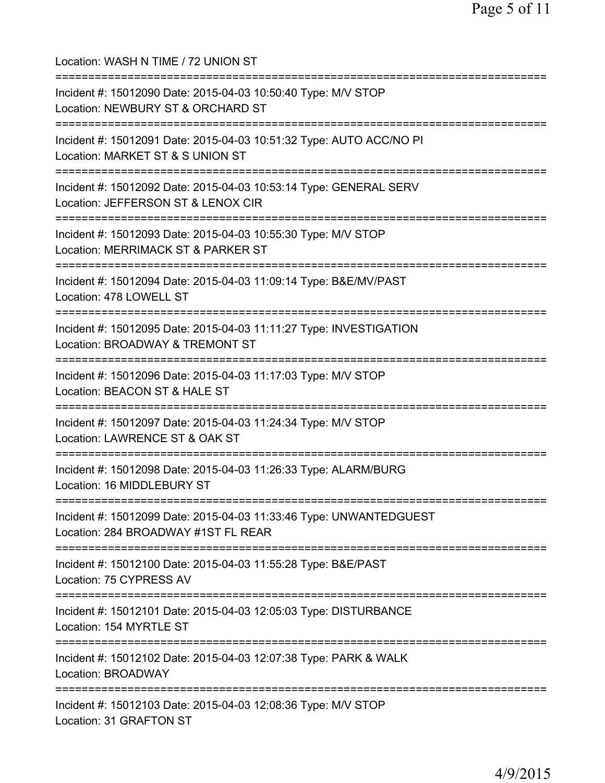| Location: WASH N TIME / 72 UNION ST                                                                                                          |
|----------------------------------------------------------------------------------------------------------------------------------------------|
| Incident #: 15012090 Date: 2015-04-03 10:50:40 Type: M/V STOP<br>Location: NEWBURY ST & ORCHARD ST                                           |
| Incident #: 15012091 Date: 2015-04-03 10:51:32 Type: AUTO ACC/NO PI<br>Location: MARKET ST & S UNION ST                                      |
| Incident #: 15012092 Date: 2015-04-03 10:53:14 Type: GENERAL SERV<br>Location: JEFFERSON ST & LENOX CIR<br>================================= |
| Incident #: 15012093 Date: 2015-04-03 10:55:30 Type: M/V STOP<br>Location: MERRIMACK ST & PARKER ST                                          |
| Incident #: 15012094 Date: 2015-04-03 11:09:14 Type: B&E/MV/PAST<br>Location: 478 LOWELL ST                                                  |
| Incident #: 15012095 Date: 2015-04-03 11:11:27 Type: INVESTIGATION<br>Location: BROADWAY & TREMONT ST<br>---------------------               |
| Incident #: 15012096 Date: 2015-04-03 11:17:03 Type: M/V STOP<br>Location: BEACON ST & HALE ST<br>:=======================                   |
| Incident #: 15012097 Date: 2015-04-03 11:24:34 Type: M/V STOP<br>Location: LAWRENCE ST & OAK ST                                              |
| Incident #: 15012098 Date: 2015-04-03 11:26:33 Type: ALARM/BURG<br>Location: 16 MIDDLEBURY ST                                                |
| Incident #: 15012099 Date: 2015-04-03 11:33:46 Type: UNWANTEDGUEST<br>Location: 284 BROADWAY #1ST FL REAR                                    |
| =========================<br>Incident #: 15012100 Date: 2015-04-03 11:55:28 Type: B&E/PAST<br>Location: 75 CYPRESS AV                        |
| ==============================<br>Incident #: 15012101 Date: 2015-04-03 12:05:03 Type: DISTURBANCE<br>Location: 154 MYRTLE ST                |
| Incident #: 15012102 Date: 2015-04-03 12:07:38 Type: PARK & WALK<br>Location: BROADWAY                                                       |
| Incident #: 15012103 Date: 2015-04-03 12:08:36 Type: M/V STOP<br>Location: 31 GRAFTON ST                                                     |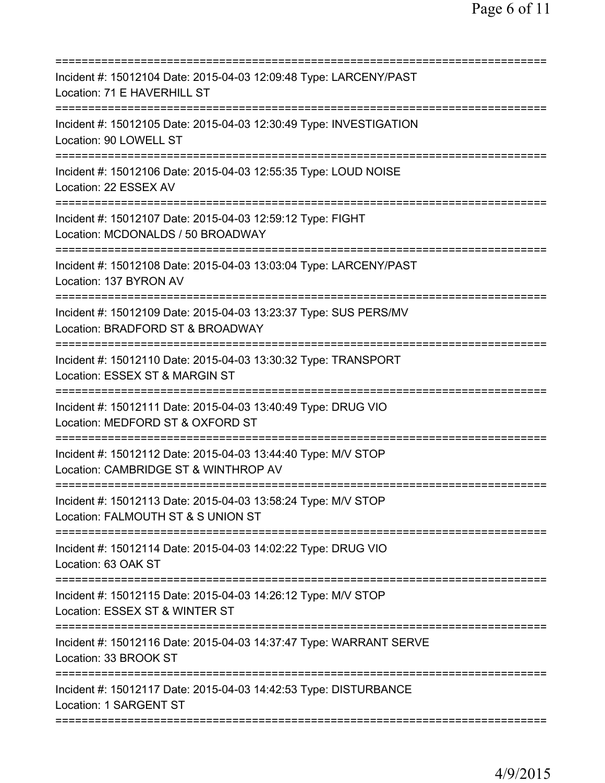| Incident #: 15012104 Date: 2015-04-03 12:09:48 Type: LARCENY/PAST<br>Location: 71 E HAVERHILL ST      |
|-------------------------------------------------------------------------------------------------------|
| Incident #: 15012105 Date: 2015-04-03 12:30:49 Type: INVESTIGATION<br>Location: 90 LOWELL ST          |
| Incident #: 15012106 Date: 2015-04-03 12:55:35 Type: LOUD NOISE<br>Location: 22 ESSEX AV              |
| Incident #: 15012107 Date: 2015-04-03 12:59:12 Type: FIGHT<br>Location: MCDONALDS / 50 BROADWAY       |
| Incident #: 15012108 Date: 2015-04-03 13:03:04 Type: LARCENY/PAST<br>Location: 137 BYRON AV           |
| Incident #: 15012109 Date: 2015-04-03 13:23:37 Type: SUS PERS/MV<br>Location: BRADFORD ST & BROADWAY  |
| Incident #: 15012110 Date: 2015-04-03 13:30:32 Type: TRANSPORT<br>Location: ESSEX ST & MARGIN ST      |
| Incident #: 15012111 Date: 2015-04-03 13:40:49 Type: DRUG VIO<br>Location: MEDFORD ST & OXFORD ST     |
| Incident #: 15012112 Date: 2015-04-03 13:44:40 Type: M/V STOP<br>Location: CAMBRIDGE ST & WINTHROP AV |
| Incident #: 15012113 Date: 2015-04-03 13:58:24 Type: M/V STOP<br>Location: FALMOUTH ST & S UNION ST   |
| Incident #: 15012114 Date: 2015-04-03 14:02:22 Type: DRUG VIO<br>Location: 63 OAK ST                  |
| Incident #: 15012115 Date: 2015-04-03 14:26:12 Type: M/V STOP<br>Location: ESSEX ST & WINTER ST       |
| Incident #: 15012116 Date: 2015-04-03 14:37:47 Type: WARRANT SERVE<br>Location: 33 BROOK ST           |
| Incident #: 15012117 Date: 2015-04-03 14:42:53 Type: DISTURBANCE<br>Location: 1 SARGENT ST            |
|                                                                                                       |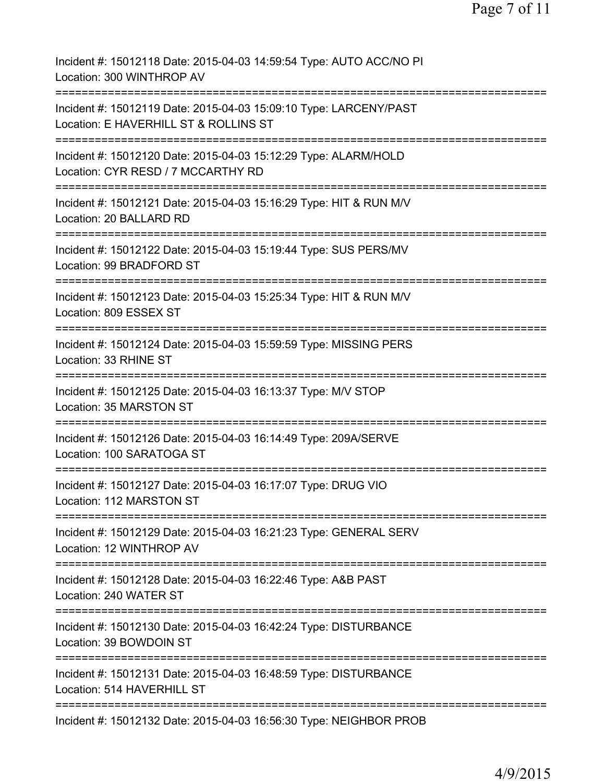| Incident #: 15012118 Date: 2015-04-03 14:59:54 Type: AUTO ACC/NO PI<br>Location: 300 WINTHROP AV                                |
|---------------------------------------------------------------------------------------------------------------------------------|
| Incident #: 15012119 Date: 2015-04-03 15:09:10 Type: LARCENY/PAST<br>Location: E HAVERHILL ST & ROLLINS ST                      |
| Incident #: 15012120 Date: 2015-04-03 15:12:29 Type: ALARM/HOLD<br>Location: CYR RESD / 7 MCCARTHY RD                           |
| =======================<br>Incident #: 15012121 Date: 2015-04-03 15:16:29 Type: HIT & RUN M/V<br>Location: 20 BALLARD RD        |
| Incident #: 15012122 Date: 2015-04-03 15:19:44 Type: SUS PERS/MV<br>Location: 99 BRADFORD ST                                    |
| Incident #: 15012123 Date: 2015-04-03 15:25:34 Type: HIT & RUN M/V<br>Location: 809 ESSEX ST                                    |
| Incident #: 15012124 Date: 2015-04-03 15:59:59 Type: MISSING PERS<br>Location: 33 RHINE ST                                      |
| Incident #: 15012125 Date: 2015-04-03 16:13:37 Type: M/V STOP<br>Location: 35 MARSTON ST                                        |
| Incident #: 15012126 Date: 2015-04-03 16:14:49 Type: 209A/SERVE<br>Location: 100 SARATOGA ST                                    |
| Incident #: 15012127 Date: 2015-04-03 16:17:07 Type: DRUG VIO<br>Location: 112 MARSTON ST                                       |
| Incident #: 15012129 Date: 2015-04-03 16:21:23 Type: GENERAL SERV<br>Location: 12 WINTHROP AV                                   |
| Incident #: 15012128 Date: 2015-04-03 16:22:46 Type: A&B PAST<br>Location: 240 WATER ST                                         |
| Incident #: 15012130 Date: 2015-04-03 16:42:24 Type: DISTURBANCE<br>Location: 39 BOWDOIN ST                                     |
| =============================<br>Incident #: 15012131 Date: 2015-04-03 16:48:59 Type: DISTURBANCE<br>Location: 514 HAVERHILL ST |
| Incident #: 15012132 Date: 2015-04-03 16:56:30 Type: NEIGHBOR PROB                                                              |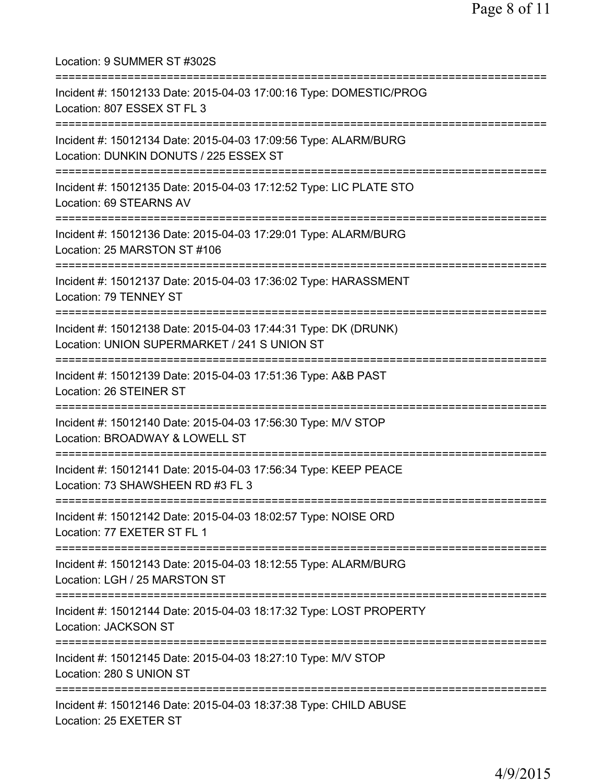Location: 9 SUMMER ST #302S =========================================================================== Incident #: 15012133 Date: 2015-04-03 17:00:16 Type: DOMESTIC/PROG Location: 807 ESSEX ST FL 3 =========================================================================== Incident #: 15012134 Date: 2015-04-03 17:09:56 Type: ALARM/BURG Location: DUNKIN DONUTS / 225 ESSEX ST =========================================================================== Incident #: 15012135 Date: 2015-04-03 17:12:52 Type: LIC PLATE STO Location: 69 STEARNS AV =========================================================================== Incident #: 15012136 Date: 2015-04-03 17:29:01 Type: ALARM/BURG Location: 25 MARSTON ST #106 =========================================================================== Incident #: 15012137 Date: 2015-04-03 17:36:02 Type: HARASSMENT Location: 79 TENNEY ST =========================================================================== Incident #: 15012138 Date: 2015-04-03 17:44:31 Type: DK (DRUNK) Location: UNION SUPERMARKET / 241 S UNION ST =========================================================================== Incident #: 15012139 Date: 2015-04-03 17:51:36 Type: A&B PAST Location: 26 STEINER ST =========================================================================== Incident #: 15012140 Date: 2015-04-03 17:56:30 Type: M/V STOP Location: BROADWAY & LOWELL ST =========================================================================== Incident #: 15012141 Date: 2015-04-03 17:56:34 Type: KEEP PEACE Location: 73 SHAWSHEEN RD #3 FL 3 =========================================================================== Incident #: 15012142 Date: 2015-04-03 18:02:57 Type: NOISE ORD Location: 77 EXETER ST FL 1 =========================================================================== Incident #: 15012143 Date: 2015-04-03 18:12:55 Type: ALARM/BURG Location: LGH / 25 MARSTON ST =========================================================================== Incident #: 15012144 Date: 2015-04-03 18:17:32 Type: LOST PROPERTY Location: JACKSON ST =========================================================================== Incident #: 15012145 Date: 2015-04-03 18:27:10 Type: M/V STOP Location: 280 S UNION ST =========================================================================== Incident #: 15012146 Date: 2015-04-03 18:37:38 Type: CHILD ABUSE Location: 25 EXETER ST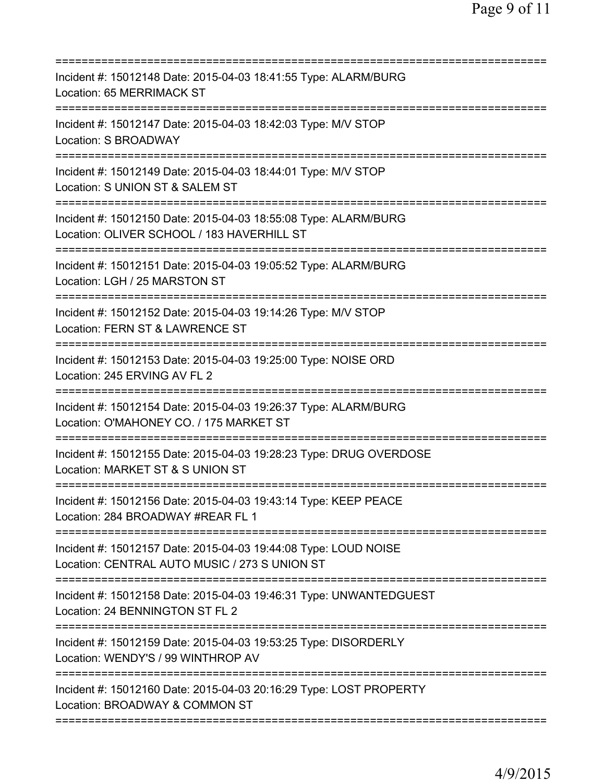| Incident #: 15012148 Date: 2015-04-03 18:41:55 Type: ALARM/BURG<br>Location: 65 MERRIMACK ST                                                      |
|---------------------------------------------------------------------------------------------------------------------------------------------------|
| Incident #: 15012147 Date: 2015-04-03 18:42:03 Type: M/V STOP<br>Location: S BROADWAY                                                             |
| Incident #: 15012149 Date: 2015-04-03 18:44:01 Type: M/V STOP<br>Location: S UNION ST & SALEM ST<br>=====================                         |
| Incident #: 15012150 Date: 2015-04-03 18:55:08 Type: ALARM/BURG<br>Location: OLIVER SCHOOL / 183 HAVERHILL ST<br>===========================      |
| Incident #: 15012151 Date: 2015-04-03 19:05:52 Type: ALARM/BURG<br>Location: LGH / 25 MARSTON ST                                                  |
| Incident #: 15012152 Date: 2015-04-03 19:14:26 Type: M/V STOP<br>Location: FERN ST & LAWRENCE ST<br>============================<br>============= |
| Incident #: 15012153 Date: 2015-04-03 19:25:00 Type: NOISE ORD<br>Location: 245 ERVING AV FL 2<br>----------                                      |
| Incident #: 15012154 Date: 2015-04-03 19:26:37 Type: ALARM/BURG<br>Location: O'MAHONEY CO. / 175 MARKET ST                                        |
| Incident #: 15012155 Date: 2015-04-03 19:28:23 Type: DRUG OVERDOSE<br>Location: MARKET ST & S UNION ST                                            |
| Incident #: 15012156 Date: 2015-04-03 19:43:14 Type: KEEP PEACE<br>Location: 284 BROADWAY #REAR FL 1                                              |
| Incident #: 15012157 Date: 2015-04-03 19:44:08 Type: LOUD NOISE<br>Location: CENTRAL AUTO MUSIC / 273 S UNION ST                                  |
| Incident #: 15012158 Date: 2015-04-03 19:46:31 Type: UNWANTEDGUEST<br>Location: 24 BENNINGTON ST FL 2<br>===========================              |
| Incident #: 15012159 Date: 2015-04-03 19:53:25 Type: DISORDERLY<br>Location: WENDY'S / 99 WINTHROP AV                                             |
| Incident #: 15012160 Date: 2015-04-03 20:16:29 Type: LOST PROPERTY<br>Location: BROADWAY & COMMON ST                                              |
|                                                                                                                                                   |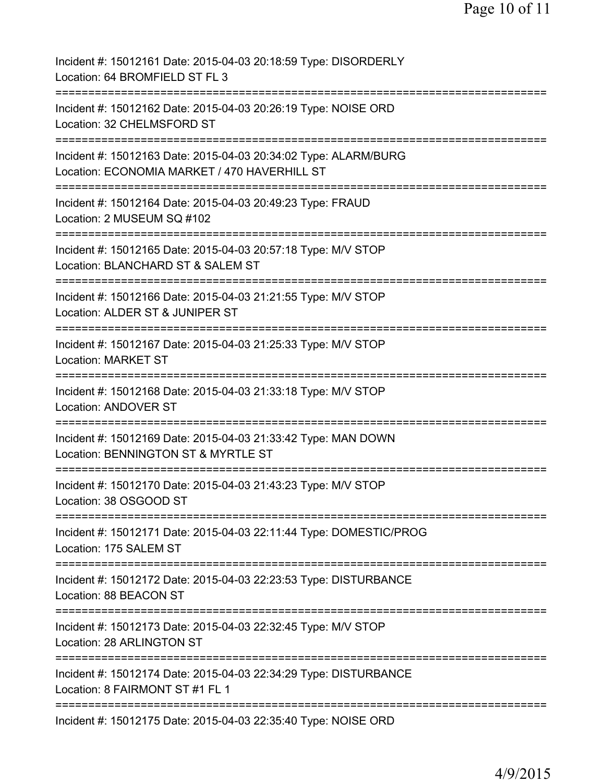| Incident #: 15012161 Date: 2015-04-03 20:18:59 Type: DISORDERLY<br>Location: 64 BROMFIELD ST FL 3                                |
|----------------------------------------------------------------------------------------------------------------------------------|
| Incident #: 15012162 Date: 2015-04-03 20:26:19 Type: NOISE ORD<br>Location: 32 CHELMSFORD ST                                     |
| Incident #: 15012163 Date: 2015-04-03 20:34:02 Type: ALARM/BURG<br>Location: ECONOMIA MARKET / 470 HAVERHILL ST                  |
| Incident #: 15012164 Date: 2015-04-03 20:49:23 Type: FRAUD<br>Location: 2 MUSEUM SQ #102                                         |
| Incident #: 15012165 Date: 2015-04-03 20:57:18 Type: M/V STOP<br>Location: BLANCHARD ST & SALEM ST                               |
| Incident #: 15012166 Date: 2015-04-03 21:21:55 Type: M/V STOP<br>Location: ALDER ST & JUNIPER ST                                 |
| Incident #: 15012167 Date: 2015-04-03 21:25:33 Type: M/V STOP<br>Location: MARKET ST<br>;=============================           |
| Incident #: 15012168 Date: 2015-04-03 21:33:18 Type: M/V STOP<br><b>Location: ANDOVER ST</b>                                     |
| Incident #: 15012169 Date: 2015-04-03 21:33:42 Type: MAN DOWN<br>Location: BENNINGTON ST & MYRTLE ST                             |
| Incident #: 15012170 Date: 2015-04-03 21:43:23 Type: M/V STOP<br>Location: 38 OSGOOD ST                                          |
| ================================<br>Incident #: 15012171 Date: 2015-04-03 22:11:44 Type: DOMESTIC/PROG<br>Location: 175 SALEM ST |
| Incident #: 15012172 Date: 2015-04-03 22:23:53 Type: DISTURBANCE<br>Location: 88 BEACON ST                                       |
| Incident #: 15012173 Date: 2015-04-03 22:32:45 Type: M/V STOP<br>Location: 28 ARLINGTON ST                                       |
| Incident #: 15012174 Date: 2015-04-03 22:34:29 Type: DISTURBANCE<br>Location: 8 FAIRMONT ST #1 FL 1                              |
| Incident #: 15012175 Date: 2015-04-03 22:35:40 Type: NOISE ORD                                                                   |